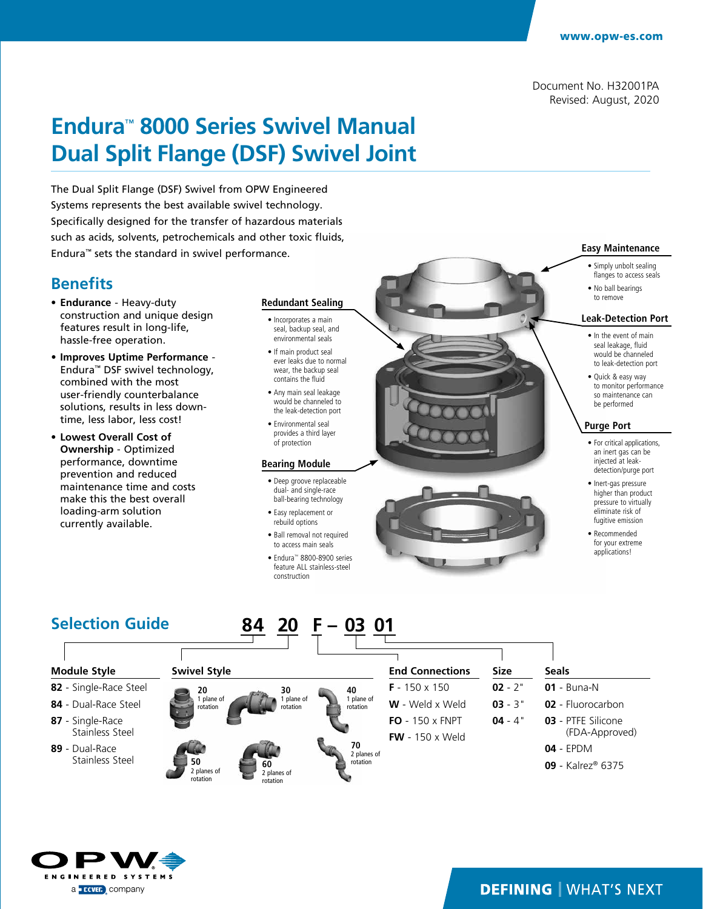# **Endura**™ **8000 Series Swivel Manual Dual Split Flange (DSF) Swivel Joint**

The Dual Split Flange (DSF) Swivel from OPW Engineered Systems represents the best available swivel technology. Specifically designed for the transfer of hazardous materials such as acids, solvents, petrochemicals and other toxic fluids, Endura™ sets the standard in swivel performance.

## **Benefits**

- **• Endurance** Heavy-duty construction and unique design features result in long-life, hassle-free operation.
- **• Improves Uptime Performance** Endura™ DSF swivel technology, combined with the most user-friendly counterbalance solutions, results in less downtime, less labor, less cost!
- **• Lowest Overall Cost of Ownership** - Optimized performance, downtime prevention and reduced maintenance time and costs make this the best overall loading-arm solution currently available.

#### **Redundant Sealing**

- Incorporates a main seal, backup seal, and environmental seals
- If main product seal ever leaks due to normal wear, the backup seal contains the fluid
- Any main seal leakage would be channeled to the leak-detection port
- Environmental seal provides a third layer of protection

#### **Bearing Module**

- Deep groove replaceable dual- and single-race ball-bearing technology
- Easy replacement or rebuild options
- Ball removal not required to access main seals
- Endura™ 8800-8900 series feature ALL stainless-steel construction



#### **Easy Maintenance** • Simply unbolt sealing

- flanges to access seals • No ball bearings
- 

#### **Leak-Detection Port**

- In the event of main seal leakage, fluid would be channeled to leak-detection port
- Quick & easy way to monitor performance so maintenance can be performed

#### **Purge Port**

- For critical applications, an inert gas can be injected at leakdetection/purge port
- Inert-gas pressure higher than product pressure to virtually eliminate risk of fugitive emission
- Recommended for your extreme applications!

#### **Module Style 82** - Single-Race Steel **84** - Dual-Race Steel **87** - Single-Race Stainless Steel **89** - Dual-Race Stainless Steel **End Connections F** - 150 x 150 **W** - Weld x Weld **FO** - 150 x FNPT **FW** - 150 x Weld **Size 02** - 2" **03** - 3" **04** - 4" **Seals 01** - Buna-N **02** - Fluorocarbon **03** - PTFE Silicone (FDA-Approved) **04** - EPDM **09** - Kalrez® 6375 **84 20 F – 03 01 Selection Guide 20** 1 plane of rotation **30** 1 plane of rotation **40** 1 plane of rotation **50** 2 planes of rotation **60** 2 planes of rotation **70** 2 planes of rotation **Swivel Style**

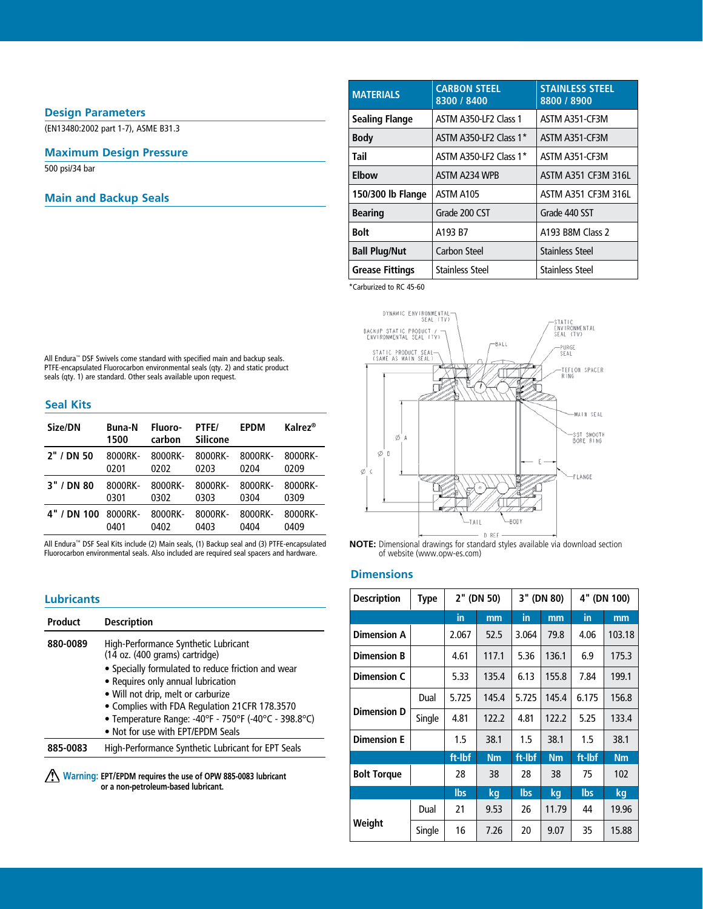### **Design Parameters**

(EN13480:2002 part 1-7), ASME B31.3

#### **Maximum Design Pressure**

500 psi/34 bar

### **Main and Backup Seals**

| <b>MATERIALS</b>       | <b>CARBON STEEL</b><br>8300 / 8400 | <b>STAINLESS STEEL</b><br>8800 / 8900 |
|------------------------|------------------------------------|---------------------------------------|
| <b>Sealing Flange</b>  | <b>ASTM A350-LE2 Class 1</b>       | ASTM A351-CF3M                        |
| <b>Body</b>            | ASTM A350-LE2 Class 1*             | ASTM A351-CF3M                        |
| Tail                   | ASTM A350-LF2 Class 1*             | ASTM A351-CF3M                        |
| Elbow                  | ASTM A234 WPB                      | ASTM A351 CF3M 316L                   |
| 150/300 lb Flange      | ASTM A105                          | ASTM A351 CF3M 316L                   |
| <b>Bearing</b>         | Grade 200 CST                      | Grade 440 SST                         |
| <b>Bolt</b>            | A193 B7                            | A193 B8M Class 2                      |
| <b>Ball Plug/Nut</b>   | Carbon Steel                       | <b>Stainless Steel</b>                |
| <b>Grease Fittings</b> | <b>Stainless Steel</b>             | <b>Stainless Steel</b>                |

\*Carburized to RC 45-60



**NOTE:** Dimensional drawings for standard styles available via download section of website (www.opw-es.com)

### **Dimensions**

| <b>Lubricants</b>                                                                                          |                                                                                                                                             | <b>Description</b> | <b>Type</b> | 2" (DN 50) |           | 3" (DN 80) |                | 4" (DN 100) |           |
|------------------------------------------------------------------------------------------------------------|---------------------------------------------------------------------------------------------------------------------------------------------|--------------------|-------------|------------|-----------|------------|----------------|-------------|-----------|
| <b>Product</b>                                                                                             | <b>Description</b>                                                                                                                          |                    |             | in         | mm        | in         | m <sub>m</sub> | in          | mm        |
| 880-0089                                                                                                   | High-Performance Synthetic Lubricant<br>$(14$ oz. $(400$ grams) cartridge)                                                                  | <b>Dimension A</b> |             | 2.067      | 52.5      | 3.064      | 79.8           | 4.06        | 103.18    |
|                                                                                                            |                                                                                                                                             | <b>Dimension B</b> |             | 4.61       | 117.1     | 5.36       | 136.1          | 6.9         | 175.3     |
|                                                                                                            | • Specially formulated to reduce friction and wear<br>• Requires only annual lubrication                                                    | <b>Dimension C</b> |             | 5.33       | 135.4     | 6.13       | 155.8          | 7.84        | 199.1     |
|                                                                                                            | • Will not drip, melt or carburize<br>• Complies with FDA Regulation 21CFR 178.3570<br>• Temperature Range: -40°F - 750°F (-40°C - 398.8°C) | <b>Dimension D</b> | Dual        | 5.725      | 145.4     | 5.725      | 145.4          | 6.175       | 156.8     |
|                                                                                                            |                                                                                                                                             |                    | Single      | 4.81       | 122.2     | 4.81       | 122.2          | 5.25        | 133.4     |
| 885-0083                                                                                                   | • Not for use with EPT/EPDM Seals<br>High-Performance Synthetic Lubricant for EPT Seals                                                     | <b>Dimension E</b> |             | 1.5        | 38.1      | 1.5        | 38.1           | 1.5         | 38.1      |
|                                                                                                            |                                                                                                                                             |                    |             | ft-lbf     | <b>Nm</b> | ft-Ibf     | <b>Nm</b>      | ft-Ibf      | <b>Nm</b> |
| <b>Warning: EPT/EPDM</b> requires the use of OPW 885-0083 lubricant<br>or a non-petroleum-based lubricant. |                                                                                                                                             | <b>Bolt Torque</b> |             | 28         | 38        | 28         | 38             | 75          | 102       |
|                                                                                                            |                                                                                                                                             |                    |             | <b>lbs</b> | kg        | <b>lbs</b> | kg             | <b>lbs</b>  | kg        |
|                                                                                                            |                                                                                                                                             |                    | Dual        | 21         | 9.53      | 26         | 11.79          | 44          | 19.96     |
|                                                                                                            |                                                                                                                                             | Weight             | Single      | 16         | 7.26      | 20         | 9.07           | 35          | 15.88     |

All Endura™ DSF Swivels come standard with specified main and backup seals. PTFE-encapsulated Fluorocarbon environmental seals (qty. 2) and static product seals (qty. 1) are standard. Other seals available upon request.

#### **Seal Kits**

| Size/DN     | <b>Buna-N</b><br>1500 | Fluoro-<br>carbon | PTFE/<br>Silicone | <b>EPDM</b> | Kalrez <sup>®</sup> |
|-------------|-----------------------|-------------------|-------------------|-------------|---------------------|
| 2" / DN 50  | 8000RK-               | 8000RK-           | 8000RK-           | 8000RK-     | 8000RK-             |
|             | 0201                  | 0202              | 0203              | 0204        | 0209                |
| 3" / DN 80  | 8000RK-               | 8000RK-           | 8000RK-           | 8000RK-     | 8000RK-             |
|             | 0301                  | 0302              | 0303              | 0304        | 0309                |
| 4" / DN 100 | 8000RK-               | 8000RK-           | 8000RK-           | 8000RK-     | 8000RK-             |
|             | 0401                  | 0402              | 0403              | 0404        | 0409                |

All Endura™ DSF Seal Kits include (2) Main seals, (1) Backup seal and (3) PTFE-encapsulated Fluorocarbon environmental seals. Also included are required seal spacers and hardware.

| <b>Product</b> | <b>Description</b>                                                     |  |  |  |  |  |
|----------------|------------------------------------------------------------------------|--|--|--|--|--|
| 880-0089       | High-Performance Synthetic Lubricant<br>(14 oz. (400 grams) cartridge) |  |  |  |  |  |
|                | · Specially formulated to reduce friction and wear                     |  |  |  |  |  |
|                | • Requires only annual lubrication                                     |  |  |  |  |  |
|                | • Will not drip, melt or carburize                                     |  |  |  |  |  |
|                | • Complies with FDA Regulation 21CFR 178.3570                          |  |  |  |  |  |
|                | • Temperature Range: -40°F - 750°F (-40°C - 398.8°C)                   |  |  |  |  |  |
|                | . Not for use with EPT/EPDM Seals                                      |  |  |  |  |  |
| 885-0083       | High-Performance Synthetic Lubricant for EPT Seals                     |  |  |  |  |  |
|                |                                                                        |  |  |  |  |  |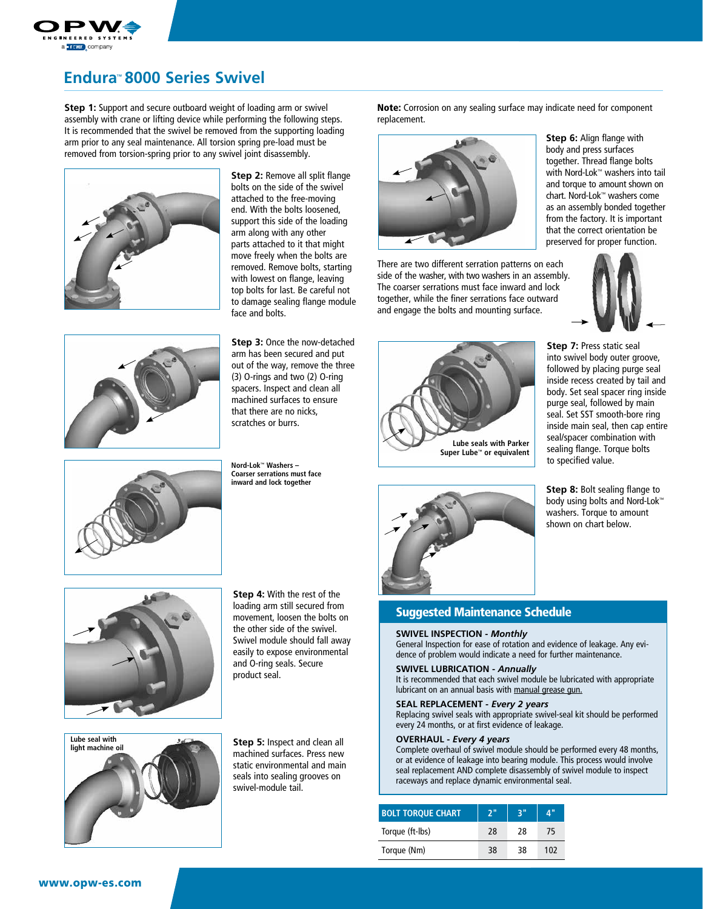

# **Endura**™ **8000 Series Swivel**

**Step 1:** Support and secure outboard weight of loading arm or swivel assembly with crane or lifting device while performing the following steps. It is recommended that the swivel be removed from the supporting loading arm prior to any seal maintenance. All torsion spring pre-load must be removed from torsion-spring prior to any swivel joint disassembly.



**Step 2:** Remove all split flange bolts on the side of the swivel attached to the free-moving end. With the bolts loosened, support this side of the loading arm along with any other parts attached to it that might move freely when the bolts are removed. Remove bolts, starting with lowest on flange, leaving top bolts for last. Be careful not to damage sealing flange module face and bolts.



**Step 3:** Once the now-detached arm has been secured and put out of the way, remove the three (3) O-rings and two (2) O-ring spacers. Inspect and clean all machined surfaces to ensure that there are no nicks, scratches or burrs.

**Nord-Lok™ Washers – Coarser serrations must face**  Note: Corrosion on any sealing surface may indicate need for component replacement.



There are two different serration patterns on each side of the washer, with two washers in an assembly. The coarser serrations must face inward and lock together, while the finer serrations face outward and engage the bolts and mounting surface.

**Step 6:** Align flange with body and press surfaces together. Thread flange bolts with Nord-Lok™ washers into tail and torque to amount shown on chart. Nord-Lok™ washers come as an assembly bonded together from the factory. It is important that the correct orientation be preserved for proper function.







**Step 7:** Press static seal into swivel body outer groove,

**Step 8:** Bolt sealing flange to body using bolts and Nord-Lok™ washers. Torque to amount shown on chart below.



**inward and lock together**



**Step 4:** With the rest of the loading arm still secured from movement, loosen the bolts on the other side of the swivel. Swivel module should fall away easily to expose environmental and O-ring seals. Secure product seal.



**Step 5:** Inspect and clean all machined surfaces. Press new static environmental and main seals into sealing grooves on swivel-module tail.



### Suggested Maintenance Schedule

#### **SWIVEL INSPECTION -** *Monthly*

General Inspection for ease of rotation and evidence of leakage. Any evidence of problem would indicate a need for further maintenance.

#### **SWIVEL LUBRICATION -** *Annually*

It is recommended that each swivel module be lubricated with appropriate lubricant on an annual basis with manual grease gun.

#### **SEAL REPLACEMENT -** *Every 2 years*

Replacing swivel seals with appropriate swivel-seal kit should be performed every 24 months, or at first evidence of leakage.

#### **OVERHAUL -** *Every 4 years*

Complete overhaul of swivel module should be performed every 48 months, or at evidence of leakage into bearing module. This process would involve seal replacement AND complete disassembly of swivel module to inspect raceways and replace dynamic environmental seal.

| <b>BOLT TORQUE CHART</b> | כ" | 2 <sup>0</sup> | 4"  |
|--------------------------|----|----------------|-----|
| Torque (ft-lbs)          | 28 | 28             | 75  |
| Torque (Nm)              | 38 | 38             | 102 |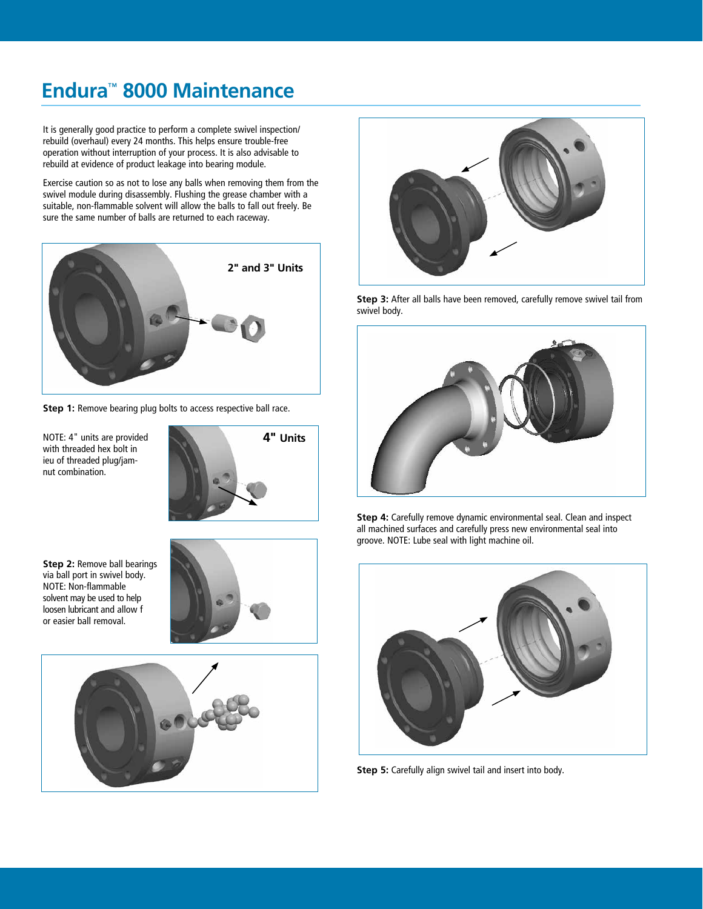# **Endura**™ **8000 Maintenance**

It is generally good practice to perform a complete swivel inspection/ rebuild (overhaul) every 24 months. This helps ensure trouble-free operation without interruption of your process. It is also advisable to rebuild at evidence of product leakage into bearing module.

Exercise caution so as not to lose any balls when removing them from the swivel module during disassembly. Flushing the grease chamber with a suitable, non-flammable solvent will allow the balls to fall out freely. Be sure the same number of balls are returned to each raceway.



**Step 1:** Remove bearing plug bolts to access respective ball race.

NOTE: 4" units are provided with threaded hex bolt in ieu of threaded plug/jamnut combination.



**Step 2:** Remove ball bearings via ball port in swivel body. NOTE: Non-flammable solvent may be used to help loosen lubricant and allow f or easier ball removal.







**Step 3:** After all balls have been removed, carefully remove swivel tail from swivel body.



**Step 4:** Carefully remove dynamic environmental seal. Clean and inspect all machined surfaces and carefully press new environmental seal into groove. NOTE: Lube seal with light machine oil.



**Step 5:** Carefully align swivel tail and insert into body.